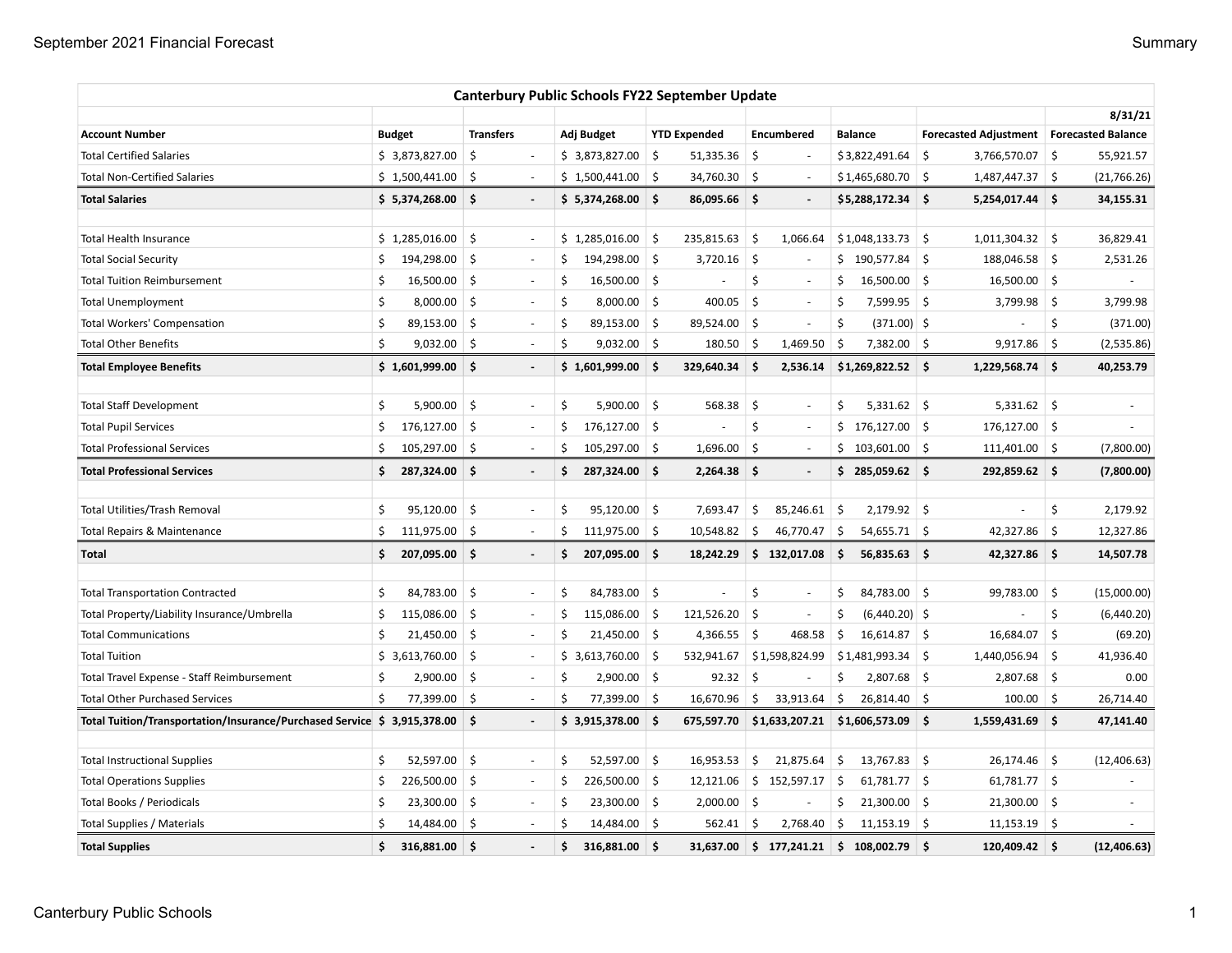|                                                                          |    |                |                  |                          |     | <b>Canterbury Public Schools FY22 September Update</b> |                    |                     |            |                          |     |                    |      |                                            |            |                |
|--------------------------------------------------------------------------|----|----------------|------------------|--------------------------|-----|--------------------------------------------------------|--------------------|---------------------|------------|--------------------------|-----|--------------------|------|--------------------------------------------|------------|----------------|
|                                                                          |    |                |                  |                          |     |                                                        |                    |                     |            |                          |     |                    |      |                                            |            | 8/31/21        |
| <b>Account Number</b>                                                    |    | <b>Budget</b>  | <b>Transfers</b> |                          |     | Adj Budget                                             |                    | <b>YTD Expended</b> |            | Encumbered               |     | <b>Balance</b>     |      | Forecasted Adjustment   Forecasted Balance |            |                |
| <b>Total Certified Salaries</b>                                          |    | \$3,873,827.00 | \$               | $\overline{\phantom{a}}$ |     | \$3,873,827.00                                         | \$                 | 51,335.36           | \$         |                          |     | \$3,822,491.64     | \$   | 3,766,570.07                               | 5          | 55,921.57      |
| <b>Total Non-Certified Salaries</b>                                      |    | \$1,500,441.00 | Ś.               | $\sim$                   |     | \$1,500,441.00                                         | 5                  | 34,760.30           | $\zeta$    | $\sim$                   |     | \$1,465,680.70     | -\$  | 1,487,447.37 \$                            |            | (21,766.26)    |
| <b>Total Salaries</b>                                                    |    | \$5,374,268.00 | Ŝ.               | $\overline{\phantom{a}}$ |     | $$5,374,268.00$ \$                                     |                    | 86,095.66           | -\$        | $\overline{\phantom{a}}$ |     | $$5,288,172.34$ \$ |      | 5,254,017.44 \$                            |            | 34,155.31      |
| <b>Total Health Insurance</b>                                            |    | \$1,285,016.00 | \$               | $\overline{\phantom{a}}$ |     | \$1,285,016.00                                         | \$                 | 235,815.63          | \$         | 1,066.64                 |     | \$1,048,133.73     | \$   | $1,011,304.32$ \$                          |            | 36,829.41      |
| <b>Total Social Security</b>                                             | \$ | 194,298.00     | \$               | $\sim$                   | \$  | 194,298.00                                             | \$                 | 3,720.16            | \$         |                          |     | $$190,577.84$ \$   |      | 188,046.58 \$                              |            | 2,531.26       |
| <b>Total Tuition Reimbursement</b>                                       | \$ | 16,500.00      | \$               | $\sim$                   | \$  | 16,500.00                                              | \$                 |                     | \$         |                          | Ś   | $16,500.00$ \$     |      | 16,500.00                                  | $\vert$ \$ |                |
| <b>Total Unemployment</b>                                                | \$ | 8,000.00       | Ŝ.               | $\sim$                   | \$  | $8,000.00$ \$                                          |                    | 400.05              | Ś.         | $\overline{\phantom{a}}$ | Ŝ   | 7,599.95 \$        |      | 3,799.98                                   | ∣\$        | 3,799.98       |
| <b>Total Workers' Compensation</b>                                       | \$ | 89,153.00      | $\zeta$          | $\sim$                   | \$  | 89,153.00 \$                                           |                    | 89,524.00           | $\vert$ \$ |                          | \$  | $(371.00)$ \$      |      |                                            | \$         | (371.00)       |
| <b>Total Other Benefits</b>                                              | Ś. | 9,032.00       | -\$              | $\sim$                   | Ś   | $9,032.00$ \$                                          |                    | 180.50              | -\$        | 1,469.50                 | \$. | 7,382.00 \$        |      | 9,917.86                                   | ∣\$        | (2,535.86)     |
| <b>Total Employee Benefits</b>                                           |    | \$1,601,999.00 | Ŝ.               | $\overline{a}$           |     | \$1,601,999.00                                         | \$                 | 329,640.34          | \$         | 2,536.14                 |     | $$1,269,822.52$ \$ |      | 1,229,568.74                               | \$ ا       | 40,253.79      |
| <b>Total Staff Development</b>                                           | \$ | 5,900.00       | \$               | $\blacksquare$           | \$  | $5,900.00$ \$                                          |                    | 568.38              | \$         | $\overline{\phantom{a}}$ | \$  | $5,331.62$ \$      |      | $5,331.62$ \$                              |            | $\blacksquare$ |
| <b>Total Pupil Services</b>                                              | Ś. | 176,127.00     | Ŝ.               | $\overline{\phantom{a}}$ | Ś   | $176,127.00$ \$                                        |                    | ÷,                  | \$         | $\sim$                   |     | $$176,127.00$ $$$  |      | $176,127.00$ \$                            |            |                |
| <b>Total Professional Services</b>                                       | \$ | 105,297.00     | -\$              | $\overline{\phantom{a}}$ | \$  | 105,297.00 \$                                          |                    | 1,696.00            | \$         | $\overline{\phantom{a}}$ |     | \$103,601.00       |      | $111,401.00$ \$                            |            | (7,800.00)     |
| <b>Total Professional Services</b>                                       | \$ | 287,324.00     | \$.              | $\overline{a}$           | \$. | 287,324.00                                             | -\$                | 2,264.38            | \$.        |                          |     | \$285,059.62\$     |      | 292,859.62                                 | ∣\$        | (7,800.00)     |
| <b>Total Utilities/Trash Removal</b>                                     | Ś. | 95,120.00      | Ś.               | $\sim$                   | \$  | $95,120.00$ \$                                         |                    | 7,693.47            | \$         | 85,246.61                | \$  | $2,179.92$ \$      |      | ÷,                                         | \$         | 2,179.92       |
| Total Repairs & Maintenance                                              | \$ | 111,975.00     | \$               | $\overline{\phantom{a}}$ | Ś.  | $111,975.00$ \$                                        |                    | 10,548.82           | \$         | 46,770.47                | \$  | $54,655.71$ \$     |      | 42,327.86                                  | 5          | 12,327.86      |
| <b>Total</b>                                                             | \$ | 207,095.00     | \$               | $\overline{\phantom{a}}$ | Ŝ.  | 207,095.00                                             | \$                 | 18,242.29           |            | \$132,017.08             | \$  | $56,835.63$ \$     |      | 42,327.86                                  | ∣\$        | 14,507.78      |
| <b>Total Transportation Contracted</b>                                   | \$ | 84,783.00      | \$               | $\overline{\phantom{a}}$ | \$  | 84,783.00 \$                                           |                    | ÷,                  | \$         | $\sim$                   | \$  | 84,783.00 \$       |      | 99,783.00                                  | \$         | (15,000.00)    |
| Total Property/Liability Insurance/Umbrella                              | Ś. | 115,086.00     | Ŝ.               | ÷,                       | \$  | 115,086.00                                             | \$                 | 121,526.20          | \$         |                          | Ŝ   | $(6,440.20)$ \$    |      |                                            | \$         | (6,440.20)     |
| <b>Total Communications</b>                                              | \$ | 21,450.00      | Ŝ.               | $\overline{\phantom{a}}$ | \$  | $21,450.00$ \$                                         |                    | 4,366.55            | \$         | 468.58                   | Ŝ.  | $16,614.87$ \$     |      | 16,684.07                                  | Ŝ.         | (69.20)        |
| <b>Total Tuition</b>                                                     |    | \$3,613,760.00 | \$               | ÷,                       |     | \$3,613,760.00                                         | \$                 | 532,941.67          |            | \$1,598,824.99           |     | $$1,481,993.34$ \$ |      | 1,440,056.94                               | ∣\$        | 41,936.40      |
| Total Travel Expense - Staff Reimbursement                               | \$ | 2,900.00       | \$               | $\overline{\phantom{a}}$ | \$  | $2,900.00$ \$                                          |                    | 92.32               | \$.        |                          | \$  | $2,807.68$ \$      |      | 2,807.68                                   | ∣\$        | 0.00           |
| <b>Total Other Purchased Services</b>                                    | \$ | 77,399.00      | \$               |                          | \$  | 77,399.00                                              | \$                 | 16,670.96           | \$         | 33,913.64                | \$  | 26,814.40          | \$   | 100.00                                     | \$         | 26,714.40      |
| Total Tuition/Transportation/Insurance/Purchased Service \$ 3,915,378.00 |    |                | ۱\$              | $\blacksquare$           |     | $$3,915,378.00$ \$                                     |                    | 675,597.70          |            | \$1,633,207.21           |     | $$1,606,573.09$ \$ |      | 1,559,431.69                               | ∣\$        | 47,141.40      |
| <b>Total Instructional Supplies</b>                                      | \$ | 52,597.00      | \$               | $\sim$                   | \$  | 52,597.00                                              | \$                 | 16,953.53           | \$         | 21,875.64                | \$  | 13,767.83          | -\$  | 26,174.46                                  | 5          | (12, 406.63)   |
| <b>Total Operations Supplies</b>                                         | \$ | 226,500.00     | \$               | $\overline{\phantom{a}}$ | \$  | 226,500.00                                             | \$                 | 12,121.06           |            | \$152,597.17             | \$  | $61,781.77$ \$     |      | $61,781.77$ \$                             |            | $\sim$         |
| Total Books / Periodicals                                                | \$ | 23,300.00      | \$               | $\sim$                   | \$  | $23,300.00$ \$                                         |                    | 2,000.00            | -\$        |                          | \$  | $21,300.00$ \$     |      | 21,300.00                                  | ∣\$        | $\blacksquare$ |
| Total Supplies / Materials                                               | \$ | 14,484.00      | \$               | ä,                       | Ś   | 14,484.00 \$                                           |                    | 562.41              | Ŝ          | 2,768.40                 | \$  | $11,153.19$ \$     |      | $11,153.19$ \$                             |            |                |
| <b>Total Supplies</b>                                                    | \$ | 316,881.00     | Ŝ.               |                          | Ś   | 316,881.00                                             | $\dot{\mathsf{s}}$ | 31,637.00           | Ś.         | 177,241.21               | ∣\$ | 108.002.79         | \$ ا | 120,409.42                                 | ∣\$        | (12, 406.63)   |